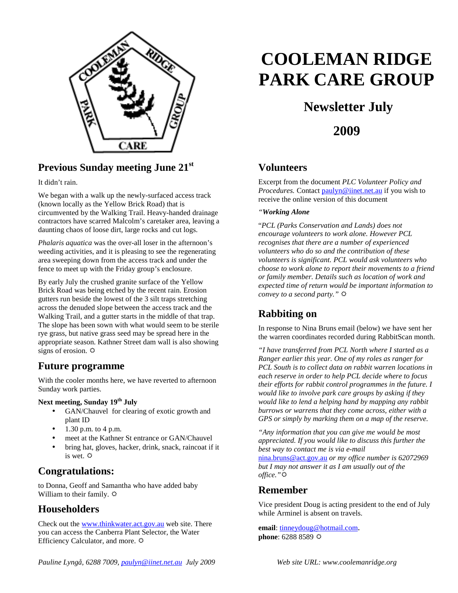

## **Previous Sunday meeting June 21st**

It didn't rain.

We began with a walk up the newly-surfaced access track (known locally as the Yellow Brick Road) that is circumvented by the Walking Trail. Heavy-handed drainage contractors have scarred Malcolm's caretaker area, leaving a daunting chaos of loose dirt, large rocks and cut logs.

*Phalaris aquatica* was the over-all loser in the afternoon's weeding activities, and it is pleasing to see the regenerating area sweeping down from the access track and under the fence to meet up with the Friday group's enclosure.

By early July the crushed granite surface of the Yellow Brick Road was being etched by the recent rain. Erosion gutters run beside the lowest of the 3 silt traps stretching across the denuded slope between the access track and the Walking Trail, and a gutter starts in the middle of that trap. The slope has been sown with what would seem to be sterile rye grass, but native grass seed may be spread here in the appropriate season. Kathner Street dam wall is also showing signs of erosion.  $\Leftrightarrow$ 

#### **Future programme**

With the cooler months here, we have reverted to afternoon Sunday work parties.

#### **Next meeting, Sunday 19th July**

- GAN/Chauvel for clearing of exotic growth and plant ID
- 1.30 p.m. to 4 p.m.
- meet at the Kathner St entrance or GAN/Chauvel
- bring hat, gloves, hacker, drink, snack, raincoat if it is wet.

#### **Congratulations:**

to Donna, Geoff and Samantha who have added baby William to their family.  $\Phi$ 

#### **Householders**

Check out the www.thinkwater.act.gov.au web site. There you can access the Canberra Plant Selector, the Water Efficiency Calculator, and more.

# **COOLEMAN RIDGE PARK CARE GROUP**

## **Newsletter July**

**2009** 

#### **Volunteers**

Excerpt from the document *PLC Volunteer Policy and Procedures.* Contact paulyn@iinet.net.au if you wish to receive the online version of this document

#### *"Working Alone*

"*PCL (Parks Conservation and Lands) does not encourage volunteers to work alone. However PCL recognises that there are a number of experienced volunteers who do so and the contribution of these volunteers is significant. PCL would ask volunteers who choose to work alone to report their movements to a friend or family member. Details such as location of work and expected time of return would be important information to convey to a second party."*

## **Rabbiting on**

In response to Nina Bruns email (below) we have sent her the warren coordinates recorded during RabbitScan month.

*"I have transferred from PCL North where I started as a Ranger earlier this year. One of my roles as ranger for PCL South is to collect data on rabbit warren locations in each reserve in order to help PCL decide where to focus their efforts for rabbit control programmes in the future. I would like to involve park care groups by asking if they would like to lend a helping hand by mapping any rabbit burrows or warrens that they come across, either with a GPS or simply by marking them on a map of the reserve.* 

*"Any information that you can give me would be most appreciated. If you would like to discuss this further the best way to contact me is via e-mail* 

nina.bruns@act.gov.au *or my office number is 62072969 but I may not answer it as I am usually out of the office."*

#### **Remember**

Vice president Doug is acting president to the end of July while Arminel is absent on travels.

**email**: tinneydoug@hotmail.com. **phone**: 6288 8589  $\ddot{\varphi}$